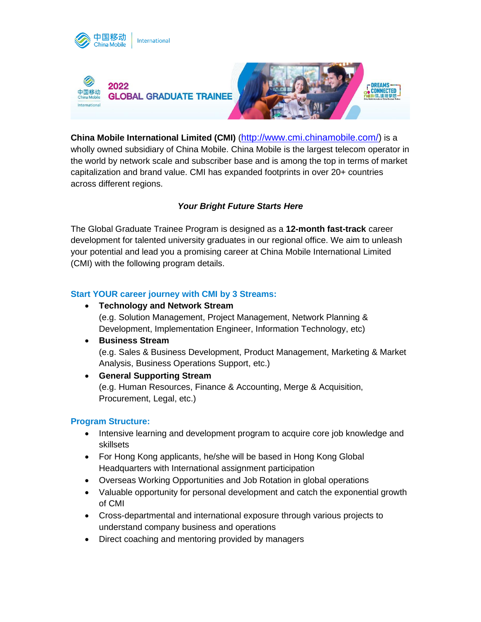





**China Mobile International Limited (CMI)** ([http://www.cmi.chinamobile.com/\)](http://www.cmi.chinamobile.com/) is a wholly owned subsidiary of China Mobile. China Mobile is the largest telecom operator in the world by network scale and subscriber base and is among the top in terms of market capitalization and brand value. CMI has expanded footprints in over 20+ countries across different regions.

# *Your Bright Future Starts Here*

The Global Graduate Trainee Program is designed as a **12-month fast-track** career development for talented university graduates in our regional office. We aim to unleash your potential and lead you a promising career at China Mobile International Limited (CMI) with the following program details.

# **Start YOUR career journey with CMI by 3 Streams:**

• **Technology and Network Stream**

(e.g. Solution Management, Project Management, Network Planning & Development, Implementation Engineer, Information Technology, etc)

- **Business Stream** (e.g. Sales & Business Development, Product Management, Marketing & Market Analysis, Business Operations Support, etc.)
- **General Supporting Stream** (e.g. Human Resources, Finance & Accounting, Merge & Acquisition, Procurement, Legal, etc.)

### **Program Structure:**

- Intensive learning and development program to acquire core job knowledge and skillsets
- For Hong Kong applicants, he/she will be based in Hong Kong Global Headquarters with International assignment participation
- Overseas Working Opportunities and Job Rotation in global operations
- Valuable opportunity for personal development and catch the exponential growth of CMI
- Cross-departmental and international exposure through various projects to understand company business and operations
- Direct coaching and mentoring provided by managers